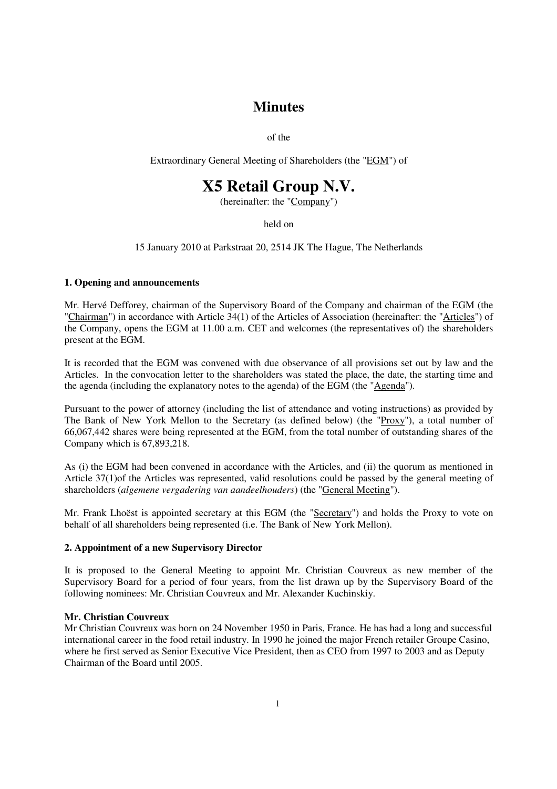# **Minutes**

of the

Extraordinary General Meeting of Shareholders (the "EGM") of

# **X5 Retail Group N.V.**

(hereinafter: the "Company")

held on

15 January 2010 at Parkstraat 20, 2514 JK The Hague, The Netherlands

## **1. Opening and announcements**

Mr. Hervé Defforey, chairman of the Supervisory Board of the Company and chairman of the EGM (the "Chairman") in accordance with Article 34(1) of the Articles of Association (hereinafter: the "Articles") of the Company, opens the EGM at 11.00 a.m. CET and welcomes (the representatives of) the shareholders present at the EGM.

It is recorded that the EGM was convened with due observance of all provisions set out by law and the Articles. In the convocation letter to the shareholders was stated the place, the date, the starting time and the agenda (including the explanatory notes to the agenda) of the EGM (the "Agenda").

Pursuant to the power of attorney (including the list of attendance and voting instructions) as provided by The Bank of New York Mellon to the Secretary (as defined below) (the "Proxy"), a total number of 66,067,442 shares were being represented at the EGM, from the total number of outstanding shares of the Company which is 67,893,218.

As (i) the EGM had been convened in accordance with the Articles, and (ii) the quorum as mentioned in Article 37(1)of the Articles was represented, valid resolutions could be passed by the general meeting of shareholders (*algemene vergadering van aandeelhouders*) (the "General Meeting").

Mr. Frank Lhoëst is appointed secretary at this EGM (the "Secretary") and holds the Proxy to vote on behalf of all shareholders being represented (i.e. The Bank of New York Mellon).

## **2. Appointment of a new Supervisory Director**

It is proposed to the General Meeting to appoint Mr. Christian Couvreux as new member of the Supervisory Board for a period of four years, from the list drawn up by the Supervisory Board of the following nominees: Mr. Christian Couvreux and Mr. Alexander Kuchinskiy.

# **Mr. Christian Couvreux**

Mr Christian Couvreux was born on 24 November 1950 in Paris, France. He has had a long and successful international career in the food retail industry. In 1990 he joined the major French retailer Groupe Casino, where he first served as Senior Executive Vice President, then as CEO from 1997 to 2003 and as Deputy Chairman of the Board until 2005.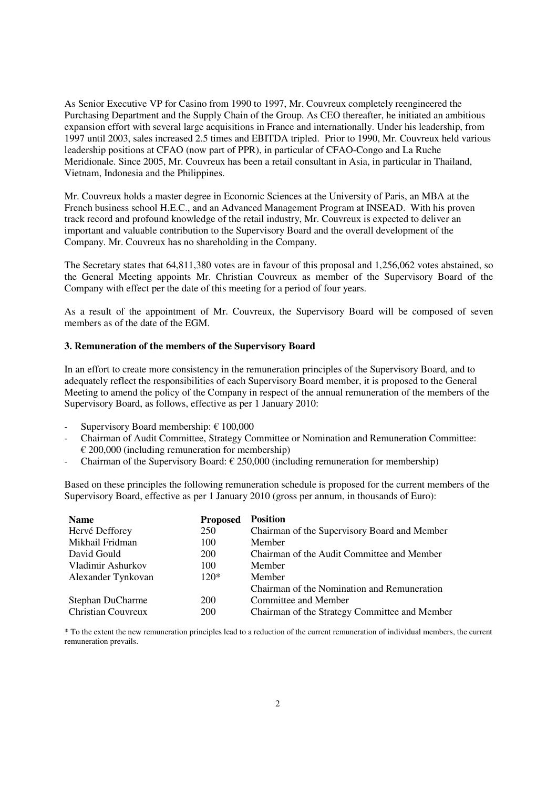As Senior Executive VP for Casino from 1990 to 1997, Mr. Couvreux completely reengineered the Purchasing Department and the Supply Chain of the Group. As CEO thereafter, he initiated an ambitious expansion effort with several large acquisitions in France and internationally. Under his leadership, from 1997 until 2003, sales increased 2.5 times and EBITDA tripled. Prior to 1990, Mr. Couvreux held various leadership positions at CFAO (now part of PPR), in particular of CFAO-Congo and La Ruche Meridionale. Since 2005, Mr. Couvreux has been a retail consultant in Asia, in particular in Thailand, Vietnam, Indonesia and the Philippines.

Mr. Couvreux holds a master degree in Economic Sciences at the University of Paris, an MBA at the French business school H.E.C., and an Advanced Management Program at INSEAD. With his proven track record and profound knowledge of the retail industry, Mr. Couvreux is expected to deliver an important and valuable contribution to the Supervisory Board and the overall development of the Company. Mr. Couvreux has no shareholding in the Company.

The Secretary states that 64,811,380 votes are in favour of this proposal and 1,256,062 votes abstained, so the General Meeting appoints Mr. Christian Couvreux as member of the Supervisory Board of the Company with effect per the date of this meeting for a period of four years.

As a result of the appointment of Mr. Couvreux, the Supervisory Board will be composed of seven members as of the date of the EGM.

#### **3. Remuneration of the members of the Supervisory Board**

In an effort to create more consistency in the remuneration principles of the Supervisory Board, and to adequately reflect the responsibilities of each Supervisory Board member, it is proposed to the General Meeting to amend the policy of the Company in respect of the annual remuneration of the members of the Supervisory Board, as follows, effective as per 1 January 2010:

- Supervisory Board membership:  $\epsilon$  100,000
- Chairman of Audit Committee, Strategy Committee or Nomination and Remuneration Committee:  $\epsilon$  200,000 (including remuneration for membership)
- Chairman of the Supervisory Board:  $\epsilon$  250,000 (including remuneration for membership)

Based on these principles the following remuneration schedule is proposed for the current members of the Supervisory Board, effective as per 1 January 2010 (gross per annum, in thousands of Euro):

| <b>Name</b>               | <b>Proposed</b> | <b>Position</b>                               |
|---------------------------|-----------------|-----------------------------------------------|
| Hervé Defforey            | 250             | Chairman of the Supervisory Board and Member  |
| Mikhail Fridman           | 100             | Member                                        |
| David Gould               | <b>200</b>      | Chairman of the Audit Committee and Member    |
| Vladimir Ashurkov         | 100             | Member                                        |
| Alexander Tynkovan        | $120*$          | Member                                        |
|                           |                 | Chairman of the Nomination and Remuneration   |
| Stephan DuCharme          | 200             | Committee and Member                          |
| <b>Christian Couvreux</b> | 200             | Chairman of the Strategy Committee and Member |

\* To the extent the new remuneration principles lead to a reduction of the current remuneration of individual members, the current remuneration prevails.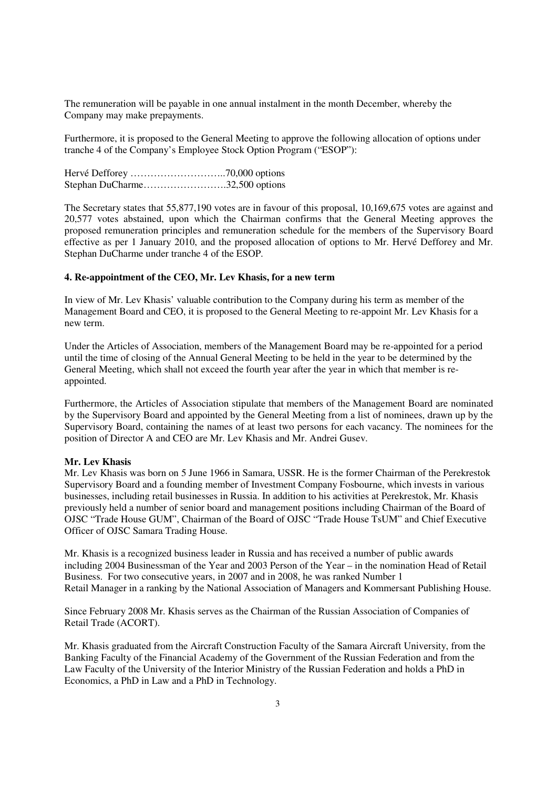The remuneration will be payable in one annual instalment in the month December, whereby the Company may make prepayments.

Furthermore, it is proposed to the General Meeting to approve the following allocation of options under tranche 4 of the Company's Employee Stock Option Program ("ESOP"):

Hervé Defforey ………………………..70,000 options Stephan DuCharme…………………….32,500 options

The Secretary states that 55,877,190 votes are in favour of this proposal, 10,169,675 votes are against and 20,577 votes abstained, upon which the Chairman confirms that the General Meeting approves the proposed remuneration principles and remuneration schedule for the members of the Supervisory Board effective as per 1 January 2010, and the proposed allocation of options to Mr. Hervé Defforey and Mr. Stephan DuCharme under tranche 4 of the ESOP.

#### **4. Re-appointment of the CEO, Mr. Lev Khasis, for a new term**

In view of Mr. Lev Khasis' valuable contribution to the Company during his term as member of the Management Board and CEO, it is proposed to the General Meeting to re-appoint Mr. Lev Khasis for a new term.

Under the Articles of Association, members of the Management Board may be re-appointed for a period until the time of closing of the Annual General Meeting to be held in the year to be determined by the General Meeting, which shall not exceed the fourth year after the year in which that member is reappointed.

Furthermore, the Articles of Association stipulate that members of the Management Board are nominated by the Supervisory Board and appointed by the General Meeting from a list of nominees, drawn up by the Supervisory Board, containing the names of at least two persons for each vacancy. The nominees for the position of Director A and CEO are Mr. Lev Khasis and Mr. Andrei Gusev.

#### **Mr. Lev Khasis**

Mr. Lev Khasis was born on 5 June 1966 in Samara, USSR. He is the former Chairman of the Perekrestok Supervisory Board and a founding member of Investment Company Fosbourne, which invests in various businesses, including retail businesses in Russia. In addition to his activities at Perekrestok, Mr. Khasis previously held a number of senior board and management positions including Chairman of the Board of OJSC "Trade House GUM", Chairman of the Board of OJSC "Trade House TsUM" and Chief Executive Officer of OJSC Samara Trading House.

Mr. Khasis is a recognized business leader in Russia and has received a number of public awards including 2004 Businessman of the Year and 2003 Person of the Year – in the nomination Head of Retail Business. For two consecutive years, in 2007 and in 2008, he was ranked Number 1 Retail Manager in a ranking by the National Association of Managers and Kommersant Publishing House.

Since February 2008 Mr. Khasis serves as the Chairman of the Russian Association of Companies of Retail Trade (ACORT).

Mr. Khasis graduated from the Aircraft Construction Faculty of the Samara Aircraft University, from the Banking Faculty of the Financial Academy of the Government of the Russian Federation and from the Law Faculty of the University of the Interior Ministry of the Russian Federation and holds a PhD in Economics, a PhD in Law and a PhD in Technology.